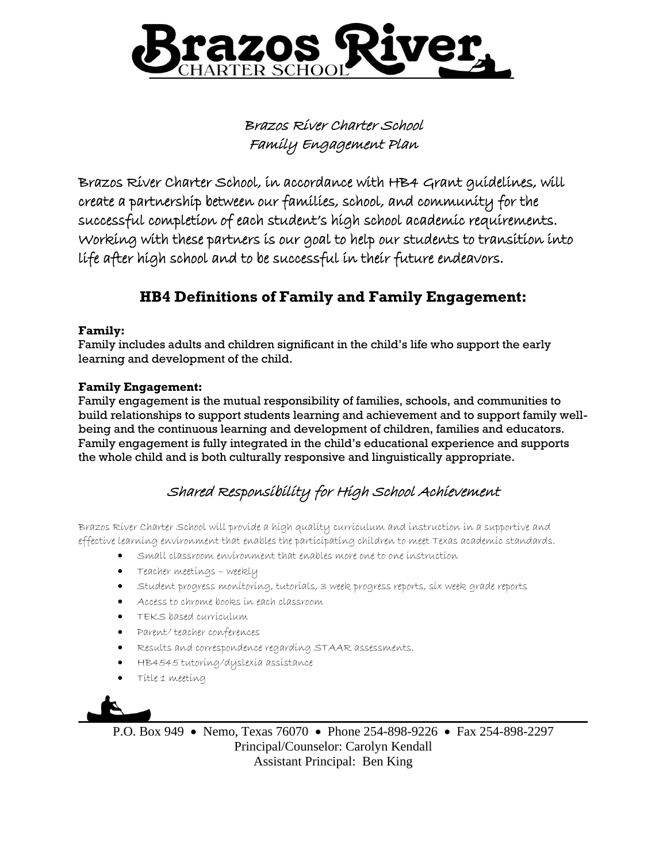

Brazos River Charter School Family Engagement Plan

Brazos River Charter School, in accordance with HB4 Grant guidelines, will create a partnership between our families, school, and community for the successful completion of each student's high school academic requirements. Working with these partners is our goal to help our students to transition into life after high school and to be successful in their future endeavors.

# **HB4 Definitions of Family and Family Engagement:**

## **Family:**

Family includes adults and children significant in the child's life who support the early learning and development of the child.

## **Family Engagement:**

Family engagement is the mutual responsibility of families, schools, and communities to build relationships to support students learning and achievement and to support family wellbeing and the continuous learning and development of children, families and educators. Family engagement is fully integrated in the child's educational experience and supports the whole child and is both culturally responsive and linguistically appropriate.

# Shared Responsibility for High School Achievement

Brazos River Charter School will provide a high quality curriculum and instruction in a supportive and effective learning environment that enables the participating children to meet Texas academic standards.

- Small classroom environment that enables more one to one instruction
- Teacher meetings weekly
- Student progress monitoring, tutorials, 3 week progress reports, six week grade reports
- Access to chrome books in each classroom
- TEKS based curriculum
- Parent/ teacher conferences
- Results and correspondence regarding STAAR assessments.
- HB4545 tutoring/dyslexia assistance
- Title 1 meeting



P.O. Box 949 • Nemo, Texas 76070 • Phone 254-898-9226 • Fax 254-898-2297 Principal/Counselor: Carolyn Kendall Assistant Principal: Ben King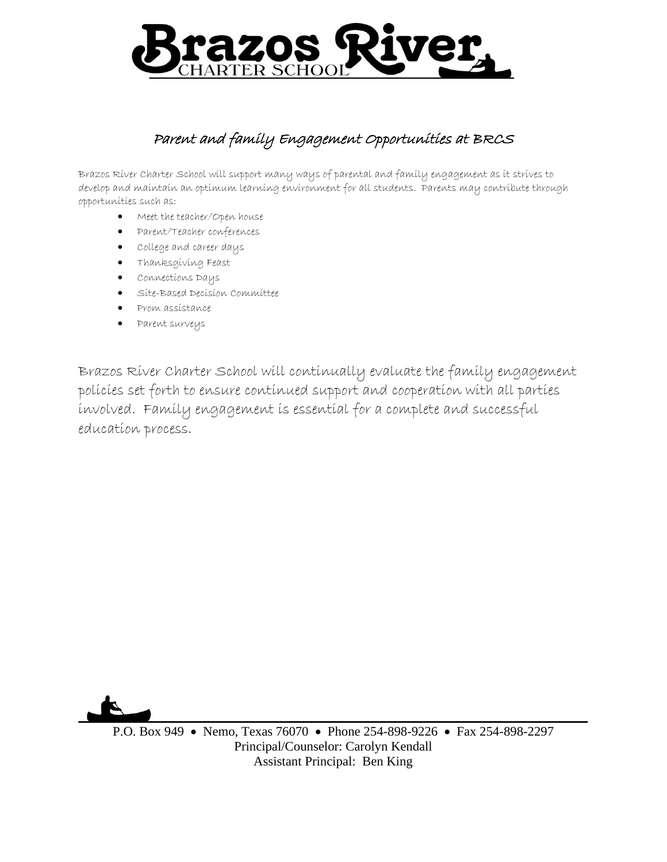

# Parent and family Engagement Opportunities at BRCS

Brazos River Charter School will support many ways of parental and family engagement as it strives to develop and maintain an optimum learning environment for all students. Parents may contribute through opportunities such as:

- Meet the teacher/Open house
- Parent/Teacher conferences
- College and career days
- Thanksgiving Feast
- Connections Days
- Site-Based Decision Committee
- Prom assistance
- Parent surveys

Brazos River Charter School will continually evaluate the family engagement policies set forth to ensure continued support and cooperation with all parties involved. Family engagement is essential for a complete and successful education process.